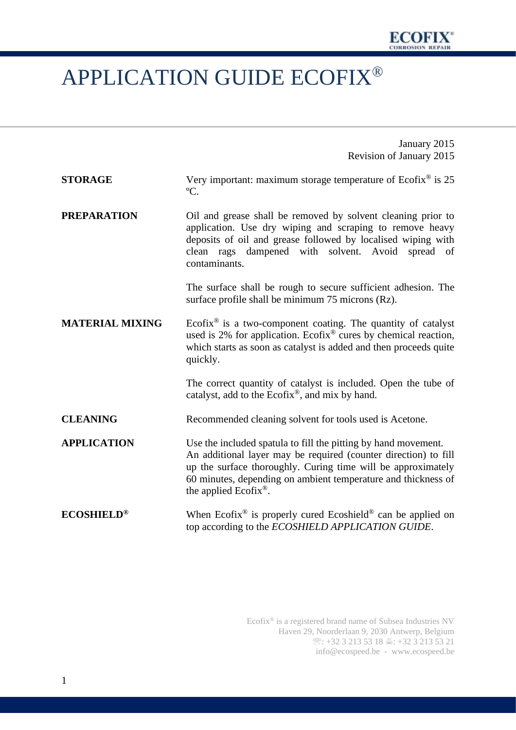## APPLICATION GUIDE ECOFIX®

|                        | January 2015                                                                                                                                                                                                                                                                                            |
|------------------------|---------------------------------------------------------------------------------------------------------------------------------------------------------------------------------------------------------------------------------------------------------------------------------------------------------|
|                        | Revision of January 2015                                                                                                                                                                                                                                                                                |
| <b>STORAGE</b>         | Very important: maximum storage temperature of $Ecofix^{\circledast}$ is 25<br>$\rm{^oC}.$                                                                                                                                                                                                              |
| <b>PREPARATION</b>     | Oil and grease shall be removed by solvent cleaning prior to<br>application. Use dry wiping and scraping to remove heavy<br>deposits of oil and grease followed by localised wiping with<br>clean rags dampened with solvent. Avoid spread<br>of<br>contaminants.                                       |
|                        | The surface shall be rough to secure sufficient adhesion. The<br>surface profile shall be minimum 75 microns (Rz).                                                                                                                                                                                      |
| <b>MATERIAL MIXING</b> | Ecofix <sup>®</sup> is a two-component coating. The quantity of catalyst<br>used is 2% for application. Ecofix <sup>®</sup> cures by chemical reaction,<br>which starts as soon as catalyst is added and then proceeds quite<br>quickly.                                                                |
|                        | The correct quantity of catalyst is included. Open the tube of<br>catalyst, add to the Ecofix <sup>®</sup> , and mix by hand.                                                                                                                                                                           |
| <b>CLEANING</b>        | Recommended cleaning solvent for tools used is Acetone.                                                                                                                                                                                                                                                 |
| <b>APPLICATION</b>     | Use the included spatula to fill the pitting by hand movement.<br>An additional layer may be required (counter direction) to fill<br>up the surface thoroughly. Curing time will be approximately<br>60 minutes, depending on ambient temperature and thickness of<br>the applied Ecofix <sup>®</sup> . |
| <b>ECOSHIELD®</b>      | When Ecofix <sup>®</sup> is properly cured Ecoshield <sup>®</sup> can be applied on<br>top according to the ECOSHIELD APPLICATION GUIDE.                                                                                                                                                                |